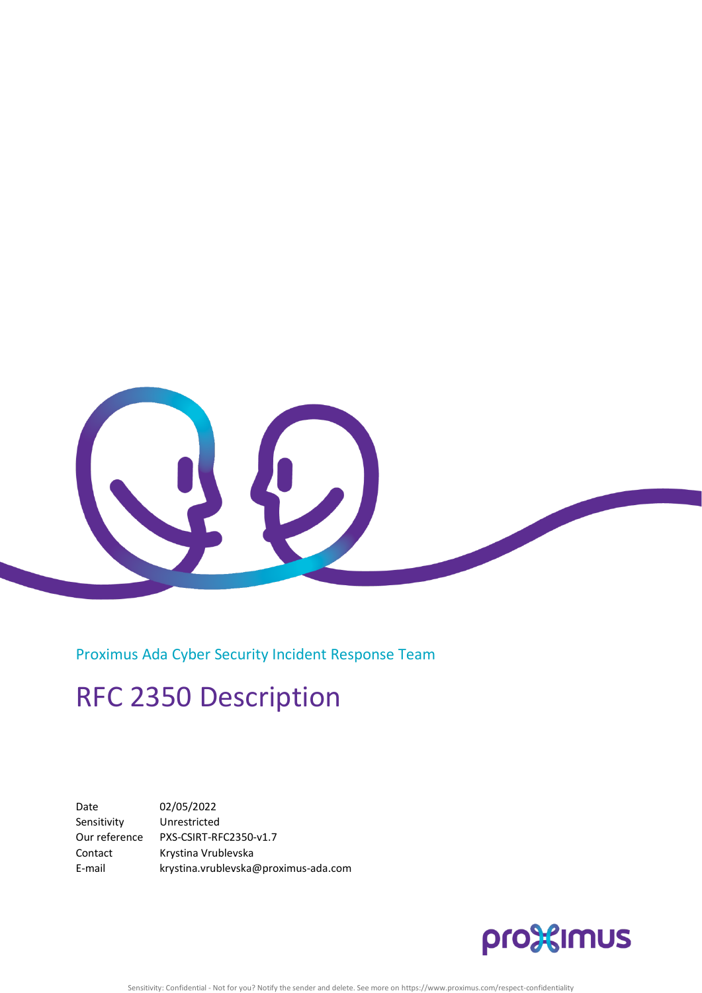

Proximus Ada Cyber Security Incident Response Team

# RFC 2350 Description

Date 02/05/2022 Sensitivity Unrestricted Our reference PXS-CSIRT-RFC2350-v1.7 Contact Krystina Vrublevska E-mail krystina.vrublevska@proximus-ada.com

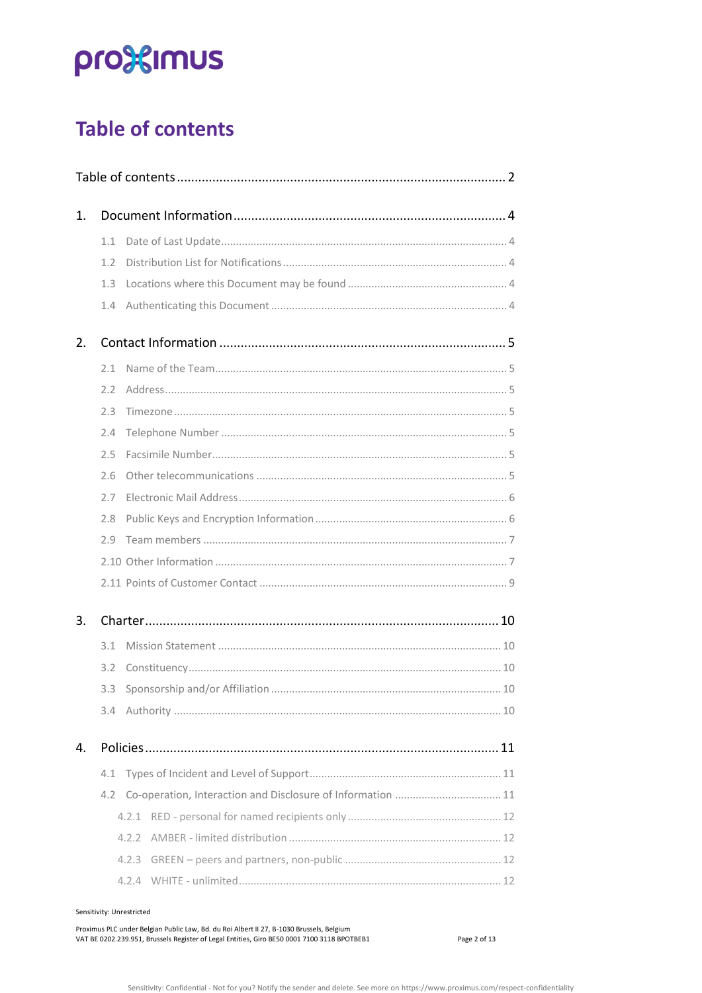# pro<sup>32</sup>imus

# <span id="page-1-0"></span>**Table of contents**

| 1. |     |                                                                 |  |  |  |
|----|-----|-----------------------------------------------------------------|--|--|--|
|    | 1.1 |                                                                 |  |  |  |
|    | 1.2 |                                                                 |  |  |  |
|    | 1.3 |                                                                 |  |  |  |
|    | 1.4 |                                                                 |  |  |  |
| 2. |     |                                                                 |  |  |  |
|    | 2.1 |                                                                 |  |  |  |
|    | 2.2 |                                                                 |  |  |  |
|    | 2.3 |                                                                 |  |  |  |
|    | 2.4 |                                                                 |  |  |  |
|    | 2.5 |                                                                 |  |  |  |
|    | 2.6 |                                                                 |  |  |  |
|    | 2.7 |                                                                 |  |  |  |
|    | 2.8 |                                                                 |  |  |  |
|    | 2.9 |                                                                 |  |  |  |
|    |     |                                                                 |  |  |  |
|    |     |                                                                 |  |  |  |
| 3. |     |                                                                 |  |  |  |
|    | 3.1 |                                                                 |  |  |  |
|    | 3.2 |                                                                 |  |  |  |
|    | 3.3 |                                                                 |  |  |  |
|    |     |                                                                 |  |  |  |
| 4. |     |                                                                 |  |  |  |
|    | 4.1 |                                                                 |  |  |  |
|    |     | 4.2 Co-operation, Interaction and Disclosure of Information  11 |  |  |  |
|    |     |                                                                 |  |  |  |
|    |     |                                                                 |  |  |  |
|    |     | 4.2.3                                                           |  |  |  |
|    |     |                                                                 |  |  |  |
|    |     |                                                                 |  |  |  |

Sensitivity: Unrestricted

Proximus PLC under Belgian Public Law, Bd. du Roi Albert II 27, B-1030 Brussels, Belgium VAT BE 0202.239.951, Brussels Register of Legal Entities, Giro BE50 0001 7100 3118 BPOTBEB1

Page 2 of 13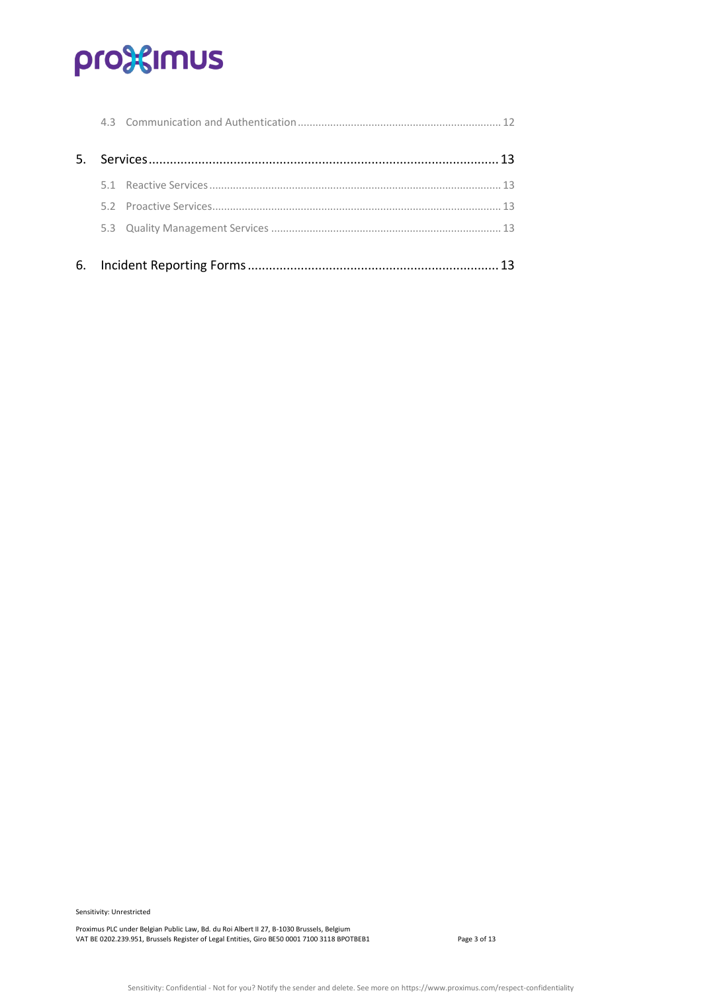# pro<sup>32</sup>imus

Sensitivity: Unrestricted

Proximus PLC under Belgian Public Law, Bd. du Roi Albert II 27, B-1030 Brussels, Belgium VAT BE 0202.239.951, Brussels Register of Legal Entities, Giro BE50 0001 7100 3118 BPOTBEB1 Page 3 of 13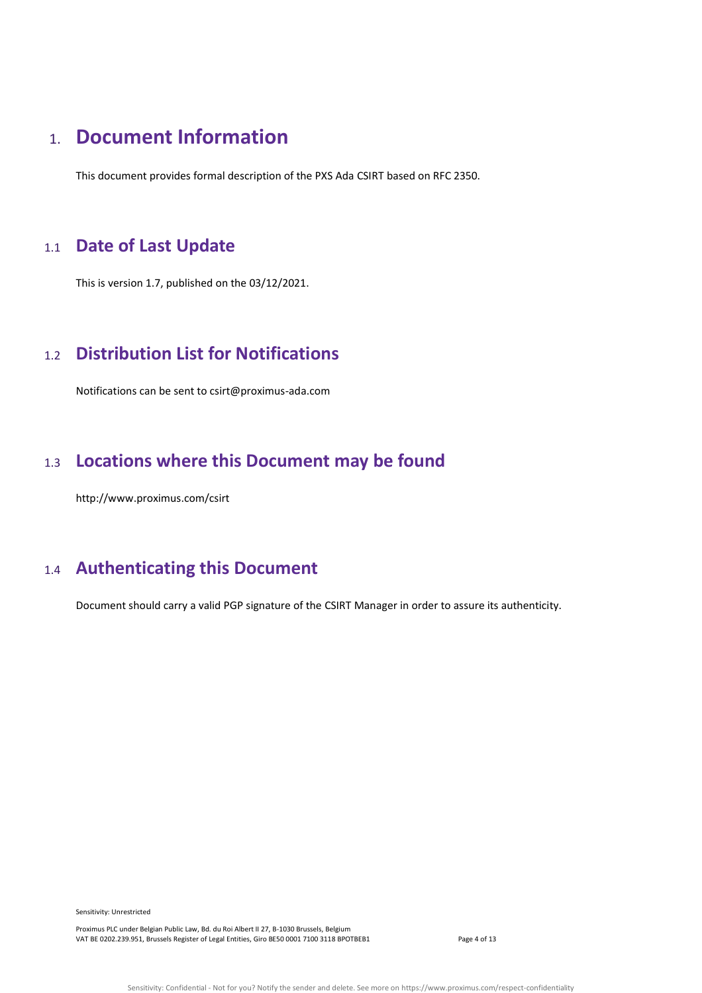# <span id="page-3-0"></span>1. **Document Information**

This document provides formal description of the PXS Ada CSIRT based on RFC 2350.

# <span id="page-3-1"></span>1.1 **Date of Last Update**

This is version 1.7, published on the 03/12/2021.

# <span id="page-3-2"></span>1.2 **Distribution List for Notifications**

Notifications can be sent to csirt@proximus-ada.com

# <span id="page-3-3"></span>1.3 **Locations where this Document may be found**

http://www.proximus.com/csirt

# <span id="page-3-4"></span>1.4 **Authenticating this Document**

Document should carry a valid PGP signature of the CSIRT Manager in order to assure its authenticity.

Sensitivity: Unrestricted

Proximus PLC under Belgian Public Law, Bd. du Roi Albert II 27, B-1030 Brussels, Belgium VAT BE 0202.239.951, Brussels Register of Legal Entities, Giro BE50 0001 7100 3118 BPOTBEB1 Page 4 of 13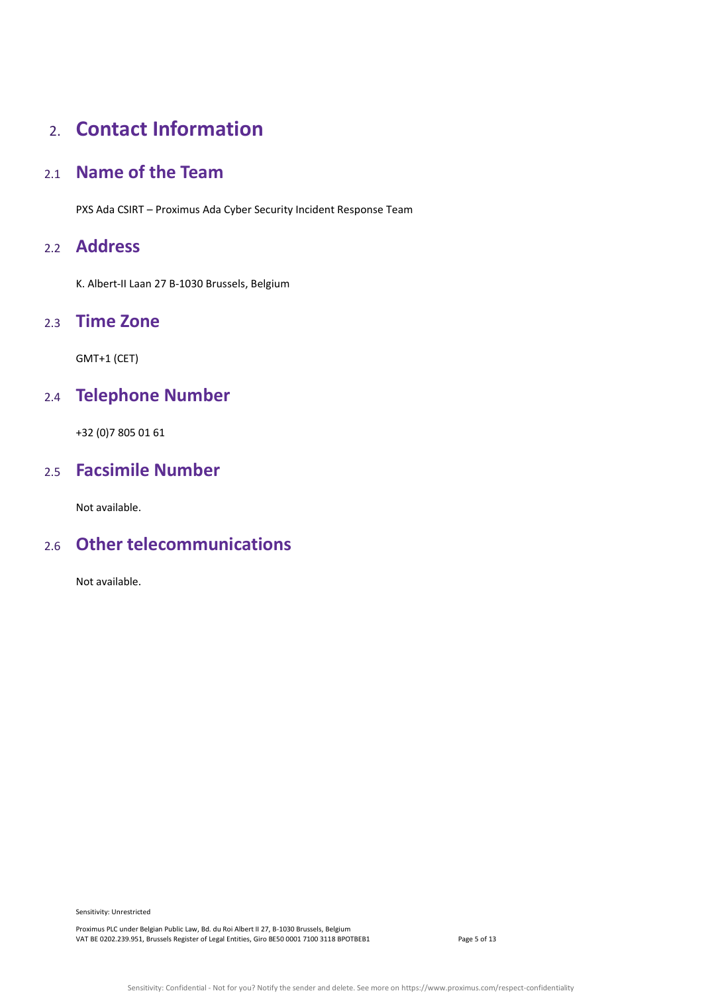# <span id="page-4-0"></span>2. **Contact Information**

## <span id="page-4-1"></span>2.1 **Name of the Team**

PXS Ada CSIRT – Proximus Ada Cyber Security Incident Response Team

### <span id="page-4-2"></span>2.2 **Address**

K. Albert-II Laan 27 B-1030 Brussels, Belgium

### <span id="page-4-3"></span>2.3 **Time Zone**

GMT+1 (CET)

# <span id="page-4-4"></span>2.4 **Telephone Number**

+32 (0)7 805 01 61

## <span id="page-4-5"></span>2.5 **Facsimile Number**

Not available.

## <span id="page-4-6"></span>2.6 **Other telecommunications**

Not available.

Sensitivity: Unrestricted

Proximus PLC under Belgian Public Law, Bd. du Roi Albert II 27, B-1030 Brussels, Belgium VAT BE 0202.239.951, Brussels Register of Legal Entities, Giro BE50 0001 7100 3118 BPOTBEB1 Page 5 of 13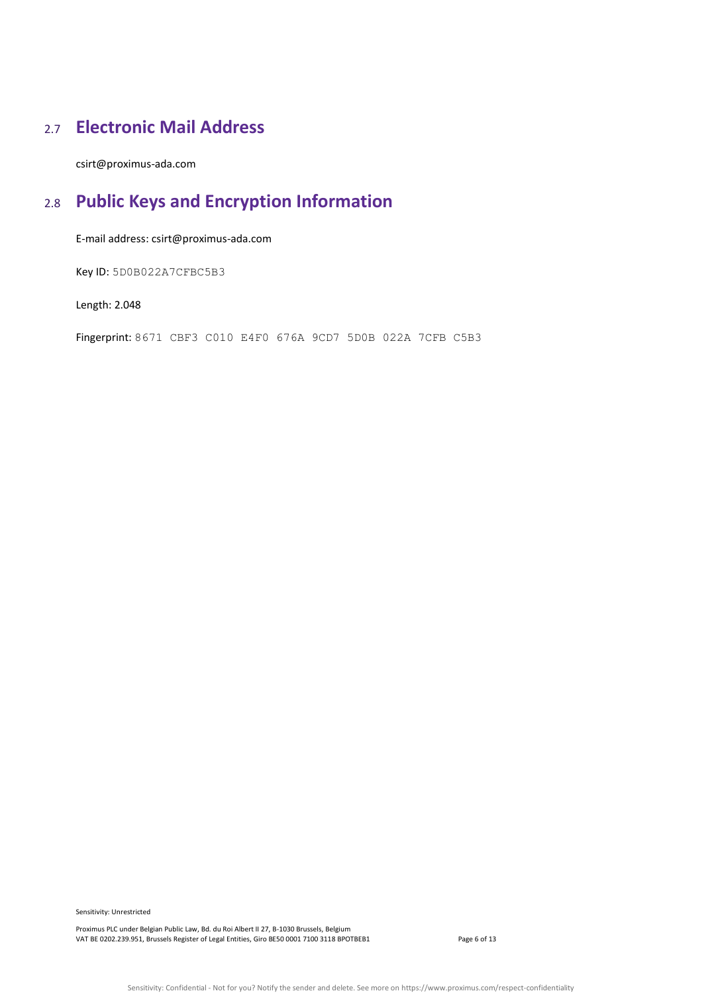# <span id="page-5-0"></span>2.7 **Electronic Mail Address**

<span id="page-5-1"></span>csirt@proximus-ada.com

# 2.8 **Public Keys and Encryption Information**

E-mail address: csirt@proximus-ada.com

Key ID: 5D0B022A7CFBC5B3

Length: 2.048

<span id="page-5-2"></span>Fingerprint: 8671 CBF3 C010 E4F0 676A 9CD7 5D0B 022A 7CFB C5B3

Sensitivity: Unrestricted

Proximus PLC under Belgian Public Law, Bd. du Roi Albert II 27, B-1030 Brussels, Belgium VAT BE 0202.239.951, Brussels Register of Legal Entities, Giro BE50 0001 7100 3118 BPOTBEB1 Page 6 of 13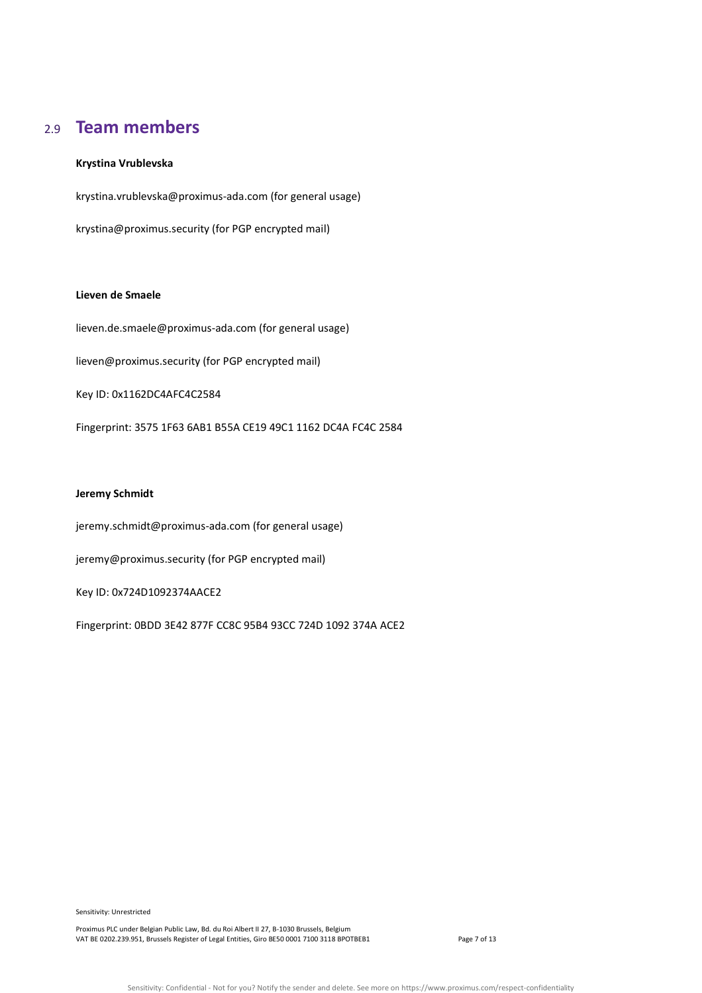### 2.9 **Team members**

#### **Krystina Vrublevska**

krystina.vrublevska@proximus-ada.com (for general usage)

krystina@proximus.security (for PGP encrypted mail)

#### **Lieven de Smaele**

lieven.de.smaele@proximus-ada.com (for general usage) lieven@proximus.security (for PGP encrypted mail) Key ID: 0x1162DC4AFC4C2584 Fingerprint: 3575 1F63 6AB1 B55A CE19 49C1 1162 DC4A FC4C 2584

#### **Jeremy Schmidt**

jeremy.schmidt@proximus-ada.com (for general usage)

jeremy@proximus.security (for PGP encrypted mail)

Key ID: 0x724D1092374AACE2

Fingerprint: 0BDD 3E42 877F CC8C 95B4 93CC 724D 1092 374A ACE2

Sensitivity: Unrestricted

Proximus PLC under Belgian Public Law, Bd. du Roi Albert II 27, B-1030 Brussels, Belgium VAT BE 0202.239.951, Brussels Register of Legal Entities, Giro BE50 0001 7100 3118 BPOTBEB1 Page 7 of 13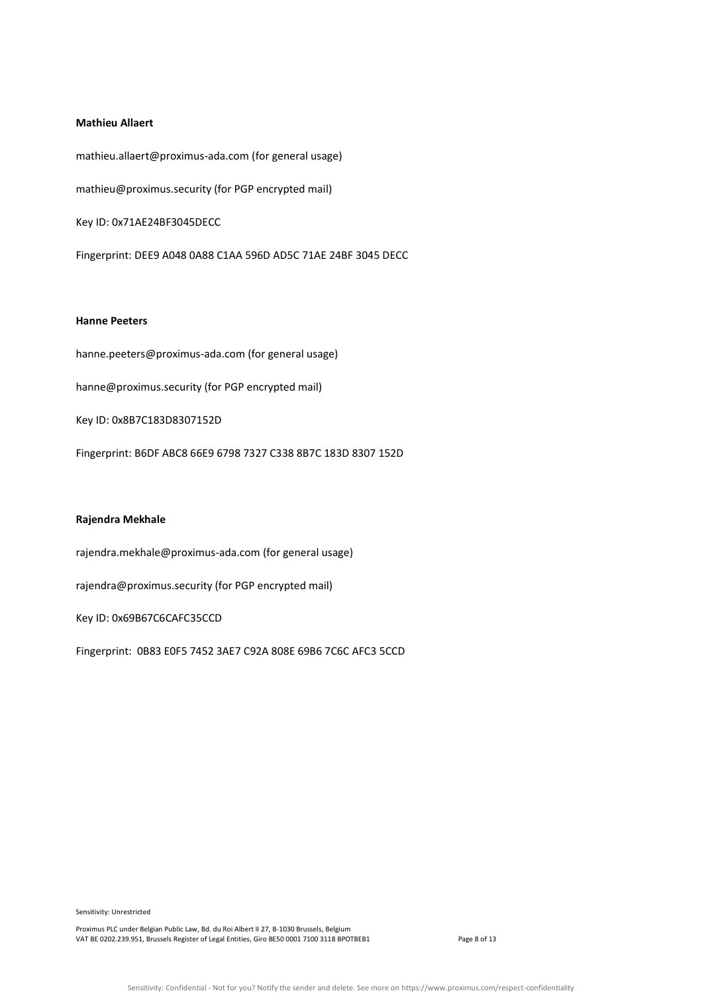#### **Mathieu Allaert**

mathieu.allaert@proximus-ada.com (for general usage) mathieu@proximus.security (for PGP encrypted mail) Key ID: 0x71AE24BF3045DECC Fingerprint: DEE9 A048 0A88 C1AA 596D AD5C 71AE 24BF 3045 DECC

#### **Hanne Peeters**

hanne.peeters@proximus-ada.com (for general usage) hanne@proximus.security (for PGP encrypted mail) Key ID: 0x8B7C183D8307152D Fingerprint: B6DF ABC8 66E9 6798 7327 C338 8B7C 183D 8307 152D

#### **Rajendra Mekhale**

rajendra.mekhale@proximus-ada.com (for general usage)

rajendra@proximus.security (for PGP encrypted mail)

Key ID: 0x69B67C6CAFC35CCD

<span id="page-7-0"></span>Fingerprint: 0B83 E0F5 7452 3AE7 C92A 808E 69B6 7C6C AFC3 5CCD

Sensitivity: Unrestricted

Proximus PLC under Belgian Public Law, Bd. du Roi Albert II 27, B-1030 Brussels, Belgium VAT BE 0202.239.951, Brussels Register of Legal Entities, Giro BE50 0001 7100 3118 BPOTBEB1 Page 8 of 13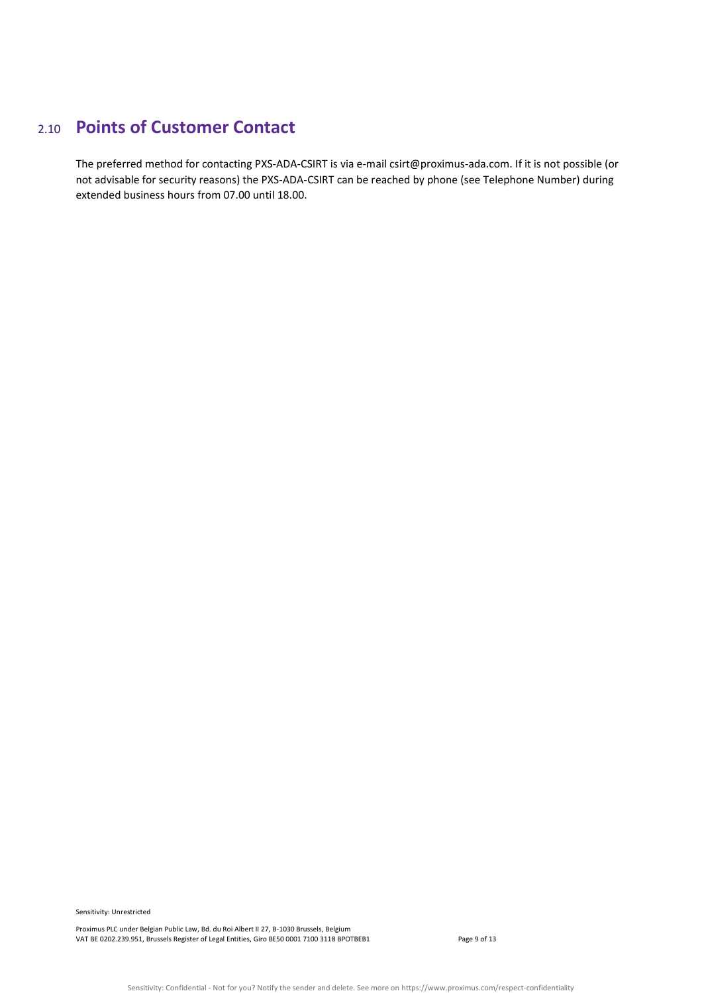# 2.10 **Points of Customer Contact**

The preferred method for contacting PXS-ADA-CSIRT is via e-mail csirt@proximus-ada.com. If it is not possible (or not advisable for security reasons) the PXS-ADA-CSIRT can be reached by phone (see Telephone Number) during extended business hours from 07.00 until 18.00.

Sensitivity: Unrestricted

Proximus PLC under Belgian Public Law, Bd. du Roi Albert II 27, B-1030 Brussels, Belgium VAT BE 0202.239.951, Brussels Register of Legal Entities, Giro BE50 0001 7100 3118 BPOTBEB1 Page 9 of 13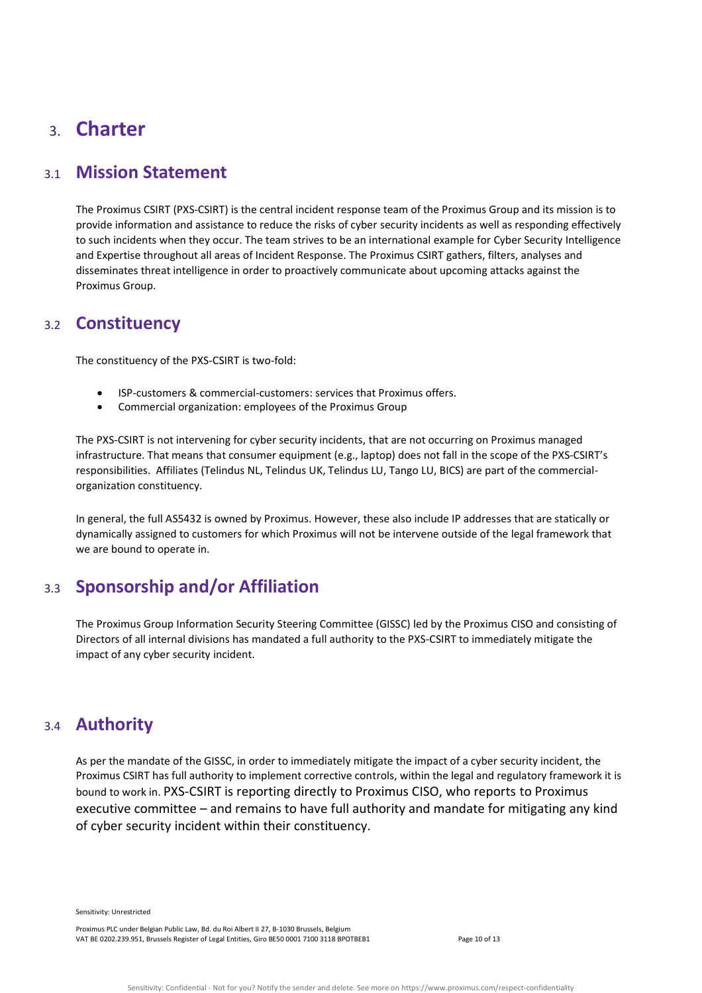# <span id="page-9-0"></span>3. **Charter**

### <span id="page-9-1"></span>3.1 **Mission Statement**

The Proximus CSIRT (PXS-CSIRT) is the central incident response team of the Proximus Group and its mission is to provide information and assistance to reduce the risks of cyber security incidents as well as responding effectively to such incidents when they occur. The team strives to be an international example for Cyber Security Intelligence and Expertise throughout all areas of Incident Response. The Proximus CSIRT gathers, filters, analyses and disseminates threat intelligence in order to proactively communicate about upcoming attacks against the Proximus Group.

### <span id="page-9-2"></span>3.2 **Constituency**

The constituency of the PXS-CSIRT is two-fold:

- ISP-customers & commercial-customers: services that Proximus offers.
- Commercial organization: employees of the Proximus Group

The PXS-CSIRT is not intervening for cyber security incidents, that are not occurring on Proximus managed infrastructure. That means that consumer equipment (e.g., laptop) does not fall in the scope of the PXS-CSIRT's responsibilities. Affiliates (Telindus NL, Telindus UK, Telindus LU, Tango LU, BICS) are part of the commercialorganization constituency.

In general, the full AS5432 is owned by Proximus. However, these also include IP addresses that are statically or dynamically assigned to customers for which Proximus will not be intervene outside of the legal framework that we are bound to operate in.

# <span id="page-9-3"></span>3.3 **Sponsorship and/or Affiliation**

The Proximus Group Information Security Steering Committee (GISSC) led by the Proximus CISO and consisting of Directors of all internal divisions has mandated a full authority to the PXS-CSIRT to immediately mitigate the impact of any cyber security incident.

### <span id="page-9-4"></span>3.4 **Authority**

As per the mandate of the GISSC, in order to immediately mitigate the impact of a cyber security incident, the Proximus CSIRT has full authority to implement corrective controls, within the legal and regulatory framework it is bound to work in. PXS-CSIRT is reporting directly to Proximus CISO, who reports to Proximus executive committee – and remains to have full authority and mandate for mitigating any kind of cyber security incident within their constituency.

<span id="page-9-5"></span>Sensitivity: Unrestricted

Proximus PLC under Belgian Public Law, Bd. du Roi Albert II 27, B-1030 Brussels, Belgium VAT BE 0202.239.951, Brussels Register of Legal Entities, Giro BE50 0001 7100 3118 BPOTBEB1 Page 10 of 13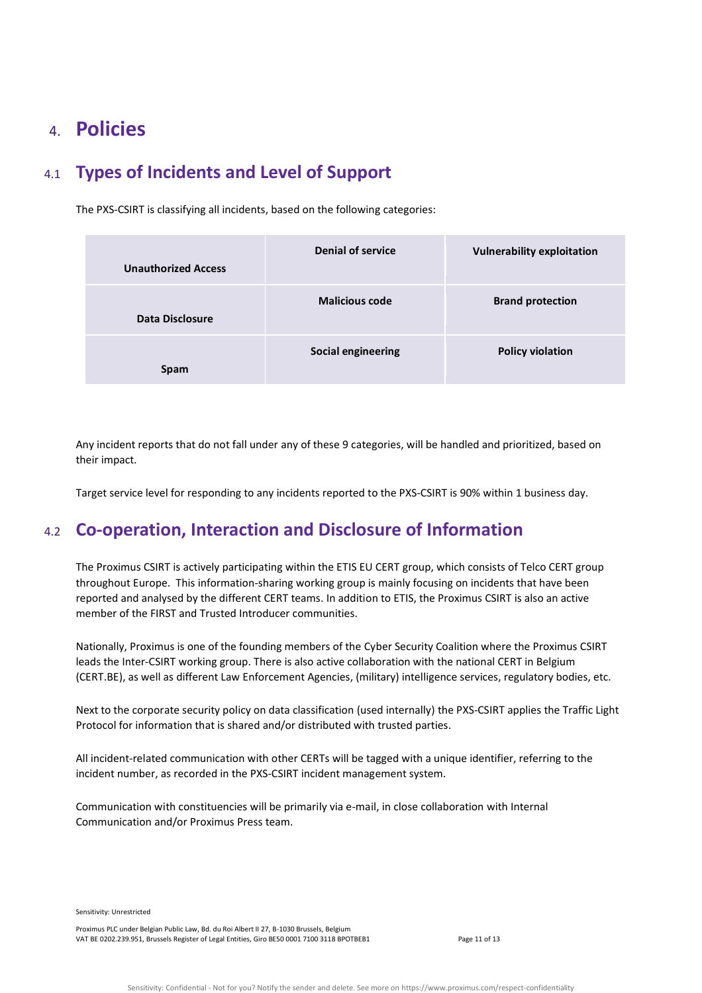# 4. **Policies**

# <span id="page-10-0"></span>4.1 **Types of Incidents and Level of Support**

The PXS-CSIRT is classifying all incidents, based on the following categories:

| <b>Unauthorized Access</b> | <b>Denial of service</b>  | <b>Vulnerability exploitation</b> |
|----------------------------|---------------------------|-----------------------------------|
| Data Disclosure            | <b>Malicious code</b>     | <b>Brand protection</b>           |
| <b>Spam</b>                | <b>Social engineering</b> | <b>Policy violation</b>           |

Any incident reports that do not fall under any of these 9 categories, will be handled and prioritized, based on their impact.

Target service level for responding to any incidents reported to the PXS-CSIRT is 90% within 1 business day.

# <span id="page-10-1"></span>4.2 **Co-operation, Interaction and Disclosure of Information**

The Proximus CSIRT is actively participating within the ETIS EU CERT group, which consists of Telco CERT group throughout Europe. This information-sharing working group is mainly focusing on incidents that have been reported and analysed by the different CERT teams. In addition to ETIS, the Proximus CSIRT is also an active member of the FIRST and Trusted Introducer communities.

Nationally, Proximus is one of the founding members of the Cyber Security Coalition where the Proximus CSIRT leads the Inter-CSIRT working group. There is also active collaboration with the national CERT in Belgium (CERT.BE), as well as different Law Enforcement Agencies, (military) intelligence services, regulatory bodies, etc.

Next to the corporate security policy on data classification (used internally) the PXS-CSIRT applies the Traffic Light Protocol for information that is shared and/or distributed with trusted parties.

All incident-related communication with other CERTs will be tagged with a unique identifier, referring to the incident number, as recorded in the PXS-CSIRT incident management system.

Communication with constituencies will be primarily via e-mail, in close collaboration with Internal Communication and/or Proximus Press team.

Sensitivity: Unrestricted

Proximus PLC under Belgian Public Law, Bd. du Roi Albert II 27, B-1030 Brussels, Belgium VAT BE 0202.239.951, Brussels Register of Legal Entities, Giro BE50 0001 7100 3118 BPOTBEB1 Page 11 of 13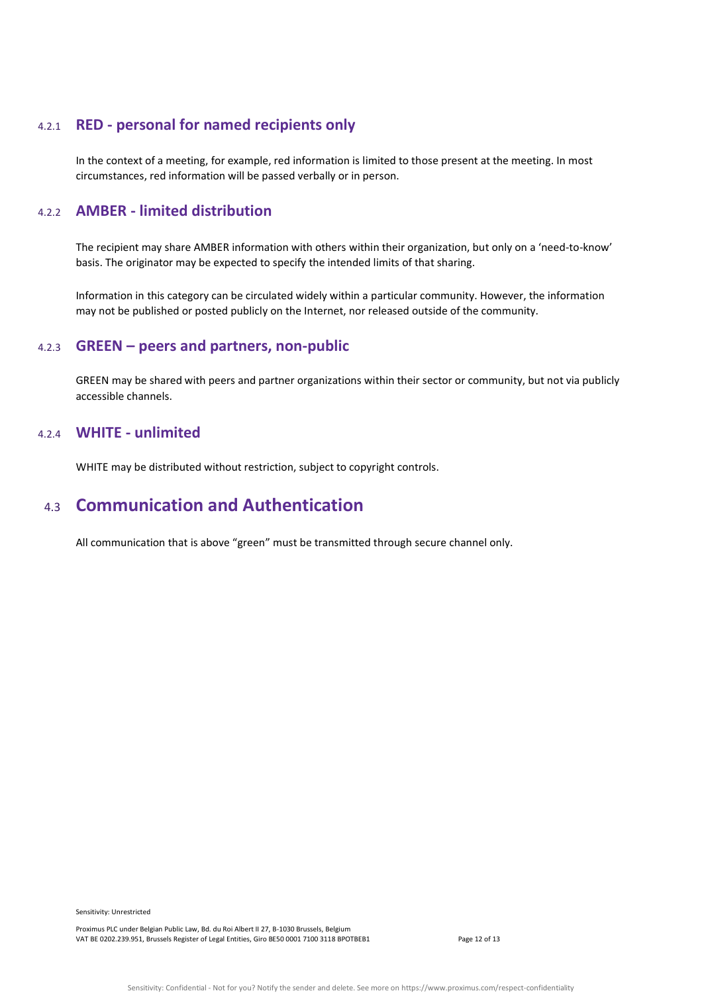### <span id="page-11-0"></span>4.2.1 **RED - personal for named recipients only**

In the context of a meeting, for example, red information is limited to those present at the meeting. In most circumstances, red information will be passed verbally or in person.

#### <span id="page-11-1"></span>4.2.2 **AMBER - limited distribution**

The recipient may share AMBER information with others within their organization, but only on a 'need-to-know' basis. The originator may be expected to specify the intended limits of that sharing.

Information in this category can be circulated widely within a particular community. However, the information may not be published or posted publicly on the Internet, nor released outside of the community.

#### <span id="page-11-2"></span>4.2.3 **GREEN – peers and partners, non-public**

GREEN may be shared with peers and partner organizations within their sector or community, but not via publicly accessible channels.

### <span id="page-11-3"></span>4.2.4 **WHITE - unlimited**

WHITE may be distributed without restriction, subject to copyright controls.

### <span id="page-11-4"></span>4.3 **Communication and Authentication**

All communication that is above "green" must be transmitted through secure channel only.

Sensitivity: Unrestricted